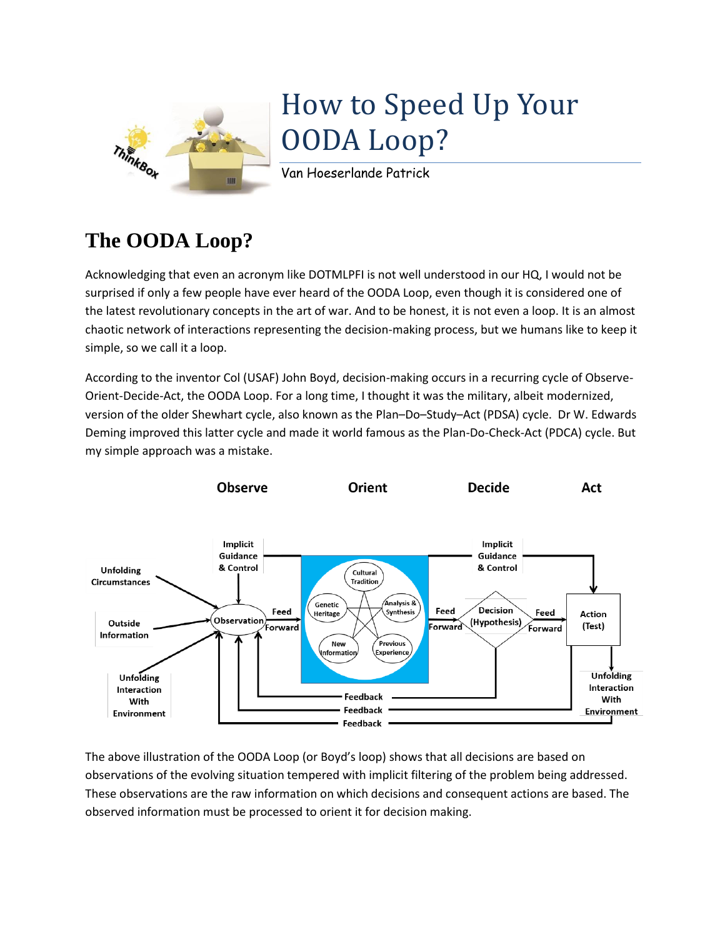

# How to Speed Up Your OODA Loop?

Van Hoeserlande Patrick

## **The OODA Loop?**

Acknowledging that even an acronym like DOTMLPFI is not well understood in our HQ, I would not be surprised if only a few people have ever heard of the OODA Loop, even though it is considered one of the latest revolutionary concepts in the art of war. And to be honest, it is not even a loop. It is an almost chaotic network of interactions representing the decision-making process, but we humans like to keep it simple, so we call it a loop.

According to the inventor Col (USAF) John Boyd, decision-making occurs in a recurring cycle of Observe-Orient-Decide-Act, the OODA Loop. For a long time, I thought it was the military, albeit modernized, version of the older Shewhart cycle, also known as the Plan–Do–Study–Act (PDSA) cycle. Dr W. Edwards Deming improved this latter cycle and made it world famous as the Plan-Do-Check-Act (PDCA) cycle. But my simple approach was a mistake.



The above illustration of the OODA Loop (or Boyd's loop) shows that all decisions are based on observations of the evolving situation tempered with implicit filtering of the problem being addressed. These observations are the raw information on which decisions and consequent actions are based. The observed information must be processed to orient it for decision making.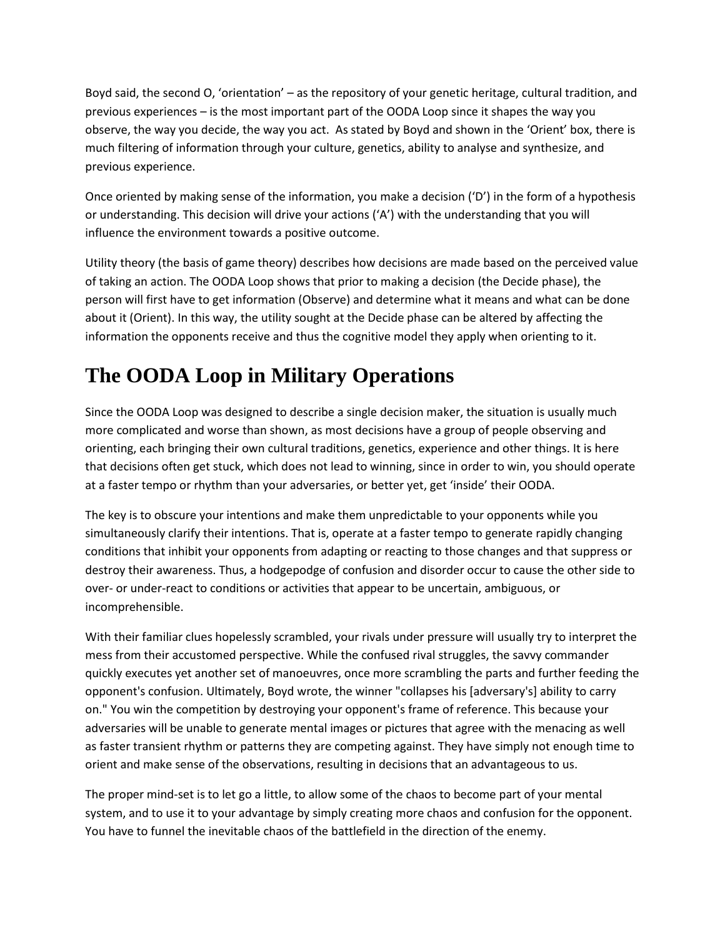Boyd said, the second O, 'orientation' – as the repository of your genetic heritage, cultural tradition, and previous experiences – is the most important part of the OODA Loop since it shapes the way you observe, the way you decide, the way you act. As stated by Boyd and shown in the 'Orient' box, there is much filtering of information through your culture, genetics, ability to analyse and synthesize, and previous experience.

Once oriented by making sense of the information, you make a decision ('D') in the form of a hypothesis or understanding. This decision will drive your actions ('A') with the understanding that you will influence the environment towards a positive outcome.

Utility theory (the basis of game theory) describes how decisions are made based on the perceived value of taking an action. The OODA Loop shows that prior to making a decision (the Decide phase), the person will first have to get information (Observe) and determine what it means and what can be done about it (Orient). In this way, the utility sought at the Decide phase can be altered by affecting the information the opponents receive and thus the cognitive model they apply when orienting to it.

### **The OODA Loop in Military Operations**

Since the OODA Loop was designed to describe a single decision maker, the situation is usually much more complicated and worse than shown, as most decisions have a group of people observing and orienting, each bringing their own cultural traditions, genetics, experience and other things. It is here that decisions often get stuck, which does not lead to winning, since in order to win, you should operate at a faster tempo or rhythm than your adversaries, or better yet, get 'inside' their OODA.

The key is to obscure your intentions and make them unpredictable to your opponents while you simultaneously clarify their intentions. That is, operate at a faster tempo to generate rapidly changing conditions that inhibit your opponents from adapting or reacting to those changes and that suppress or destroy their awareness. Thus, a hodgepodge of confusion and disorder occur to cause the other side to over- or under-react to conditions or activities that appear to be uncertain, ambiguous, or incomprehensible.

With their familiar clues hopelessly scrambled, your rivals under pressure will usually try to interpret the mess from their accustomed perspective. While the confused rival struggles, the savvy commander quickly executes yet another set of manoeuvres, once more scrambling the parts and further feeding the opponent's confusion. Ultimately, Boyd wrote, the winner "collapses his [adversary's] ability to carry on." You win the competition by destroying your opponent's frame of reference. This because your adversaries will be unable to generate mental images or pictures that agree with the menacing as well as faster transient rhythm or patterns they are competing against. They have simply not enough time to orient and make sense of the observations, resulting in decisions that an advantageous to us.

The proper mind-set is to let go a little, to allow some of the chaos to become part of your mental system, and to use it to your advantage by simply creating more chaos and confusion for the opponent. You have to funnel the inevitable chaos of the battlefield in the direction of the enemy.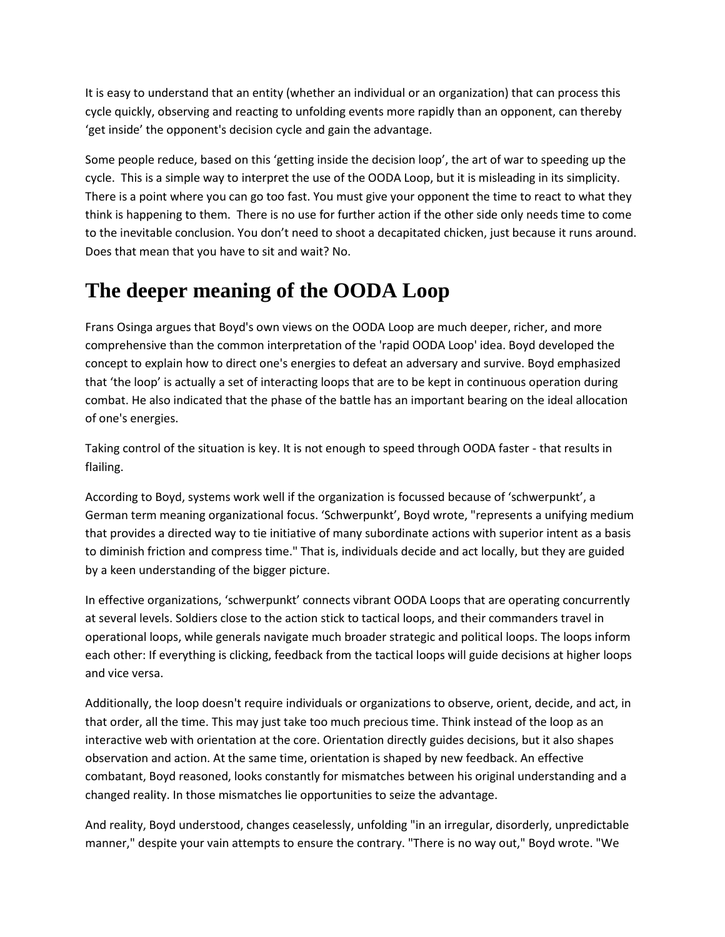It is easy to understand that an entity (whether an individual or an organization) that can process this cycle quickly, observing and reacting to unfolding events more rapidly than an opponent, can thereby 'get inside' the opponent's decision cycle and gain the advantage.

Some people reduce, based on this 'getting inside the decision loop', the art of war to speeding up the cycle. This is a simple way to interpret the use of the OODA Loop, but it is misleading in its simplicity. There is a point where you can go too fast. You must give your opponent the time to react to what they think is happening to them. There is no use for further action if the other side only needs time to come to the inevitable conclusion. You don't need to shoot a decapitated chicken, just because it runs around. Does that mean that you have to sit and wait? No.

#### **The deeper meaning of the OODA Loop**

Frans Osinga argues that Boyd's own views on the OODA Loop are much deeper, richer, and more comprehensive than the common interpretation of the 'rapid OODA Loop' idea. Boyd developed the concept to explain how to direct one's energies to defeat an adversary and survive. Boyd emphasized that 'the loop' is actually a set of interacting loops that are to be kept in continuous operation during combat. He also indicated that the phase of the battle has an important bearing on the ideal allocation of one's energies.

Taking control of the situation is key. It is not enough to speed through OODA faster - that results in flailing.

According to Boyd, systems work well if the organization is focussed because of 'schwerpunkt', a German term meaning organizational focus. 'Schwerpunkt', Boyd wrote, "represents a unifying medium that provides a directed way to tie initiative of many subordinate actions with superior intent as a basis to diminish friction and compress time." That is, individuals decide and act locally, but they are guided by a keen understanding of the bigger picture.

In effective organizations, 'schwerpunkt' connects vibrant OODA Loops that are operating concurrently at several levels. Soldiers close to the action stick to tactical loops, and their commanders travel in operational loops, while generals navigate much broader strategic and political loops. The loops inform each other: If everything is clicking, feedback from the tactical loops will guide decisions at higher loops and vice versa.

Additionally, the loop doesn't require individuals or organizations to observe, orient, decide, and act, in that order, all the time. This may just take too much precious time. Think instead of the loop as an interactive web with orientation at the core. Orientation directly guides decisions, but it also shapes observation and action. At the same time, orientation is shaped by new feedback. An effective combatant, Boyd reasoned, looks constantly for mismatches between his original understanding and a changed reality. In those mismatches lie opportunities to seize the advantage.

And reality, Boyd understood, changes ceaselessly, unfolding "in an irregular, disorderly, unpredictable manner," despite your vain attempts to ensure the contrary. "There is no way out," Boyd wrote. "We